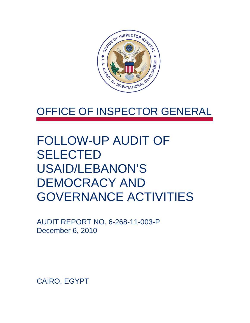

## OFFICE OF INSPECTOR GENERAL

## FOLLOW-UP AUDIT OF SELECTED USAID/LEBANON'S DEMOCRACY AND GOVERNANCE ACTIVITIES

AUDIT REPORT NO. 6-268-11-003-P December 6, 2010

CAIRO, EGYPT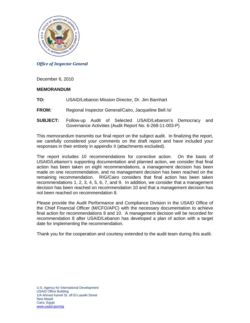

#### *Office of Inspector General*

December 6, 2010

#### **MEMORANDUM**

- **TO:** USAID/Lebanon Mission Director, Dr. Jim Barnhart
- **FROM:** Regional Inspector General/Cairo, Jacqueline Bell /s/
- **SUBJECT:** Follow-up Audit of Selected USAID/Lebanon's Democracy and Governance Activities (Audit Report No. 6-268-11-003-P)

This memorandum transmits our final report on the subject audit. In finalizing the report, we carefully considered your comments on the draft report and have included your responses in their entirety in appendix II (attachments excluded).

The report includes 10 recommendations for corrective action. On the basis of USAID/Lebanon's supporting documentation and planned action, we consider that final action has been taken on eight recommendations, a management decision has been made on one recommendation, and no management decision has been reached on the remaining recommendation. RIG/Cairo considers that final action has been taken recommendations 1, 2, 3, 4, 5, 6, 7, and 9. In addition, we consider that a management decision has been reached on recommendation 10 and that a management decision has not been reached on recommendation 8.

Please provide the Audit Performance and Compliance Division in the USAID Office of the Chief Financial Officer (M/CFO/APC) with the necessary documentation to achieve final action for recommendations 8 and 10. A management decision will be recorded for recommendation 8 after USAID/Lebanon has developed a plan of action with a target date for implementing the recommendation.

Thank you for the cooperation and courtesy extended to the audit team during this audit.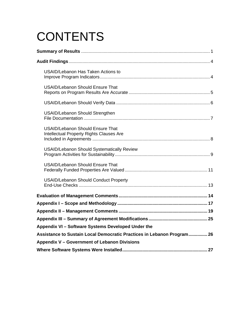# **CONTENTS**

| USAID/Lebanon Has Taken Actions to                                                  |
|-------------------------------------------------------------------------------------|
| <b>USAID/Lebanon Should Ensure That</b>                                             |
|                                                                                     |
| <b>USAID/Lebanon Should Strengthen</b>                                              |
| <b>USAID/Lebanon Should Ensure That</b><br>Intellectual Property Rights Clauses Are |
| <b>USAID/Lebanon Should Systematically Review</b>                                   |
| <b>USAID/Lebanon Should Ensure That</b>                                             |
| <b>USAID/Lebanon Should Conduct Property</b>                                        |
|                                                                                     |
|                                                                                     |
|                                                                                     |
|                                                                                     |
| Appendix VI - Software Systems Developed Under the                                  |
| Assistance to Sustain Local Democratic Practices in Lebanon Program 26              |
| Appendix V - Government of Lebanon Divisions                                        |
|                                                                                     |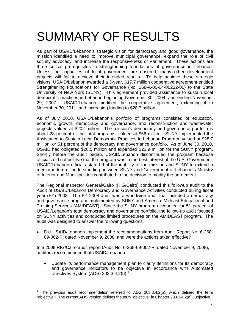# SUMMARY OF RESULTS

three critical prerequisites to strengthening foundations of governance in Lebanon. As part of USAID/Lebanon's strategic vision for democracy and good governance, the mission identified a need to improve municipal governance, expand the role of civil society advocacy, and increase the responsiveness of Parliament. These actions are Unless the capacities of local government are ensured, many other development projects will fail to achieve their intended results. To help achieve these strategic visions, USAID/Lebanon awarded a 3-year, \$17.7 million cooperative agreement entitled Strengthening Foundations for Governance (No. 268-A-00-04-00232-00) to the State University of New York (SUNY). This agreement provided assistance to sustain local democratic practices in Lebanon beginning November 30, 2004, and ending November 29, 2007. USAID/Lebanon modified the cooperative agreement, extending it to November 30, 2011, and increasing funding to \$28.7 million.

As of July 2010, USAID/Lebanon's portfolio of programs consisted of education, economic growth, democracy and governance, and reconstruction and wastewater projects valued at \$202 million. The mission's democracy and governance portfolio is about 28 percent of the total programs, valued at \$56 million. SUNY implemented the Assistance to Sustain Local Democratic Practices in Lebanon Program, valued at \$28.7 million, or 51 percent of the democracy and governance portfolio. As of June 30, 2010, USAID had obligated \$26.5 million and expended \$23.9 million for the SUNY program. Shortly before the audit began, USAID/Lebanon discontinued the program because officials did not believe that the program was in the best interest of the U.S. Government. USAID/Lebanon officials stated that the inability of the mission and SUNY to extend a memorandum of understanding between SUNY and Government of Lebanon's Ministry of Interior and Municipalities contributed to the decision to modify the agreement.

The Regional Inspector General/Cairo (RIG/Cairo) conducted this followup audit to the Audit of USAID/Lebanon Democracy and Governance Activities conducted during fiscal year (FY) 2008. The FY 2008 audit was a worldwide audit that included a democracy and governance program implemented by SUNY and America–Mideast Educational and Training Services (AMIDEAST). Since the SUNY program accounted for 51 percent of USAID/Lebanon's total democracy and governance portfolio, the follow-up audit focused on SUNY activities and conducted limited procedures on the AMIDEAST program. The audit was designed to answer the following questions:

• Did USAID/Lebanon implement the recommendations from Audit Report No. 6-268-09-002-P, dated November 9, 2008, and were the actions taken effective?

In a 2008 RIG/Cairo audit report (Audit No. 6-268-09-002-P, dated November 9, 2008), auditors recommended that USAID/Lebanon:

 Update its performance management plan to clarify definitions for its democracy and governance indicators to be objective in accordance with Automated Directives System (ADS)  $203.3.4.2(b).$ <sup>1</sup>

 $\overline{1}$  "objective." The current ADS version defines the term "objective" in Chapter 203.3.4.2(a), Objective. 1 The previous audit recommendation referred to ADS 203.3.4.2(b), which defined the term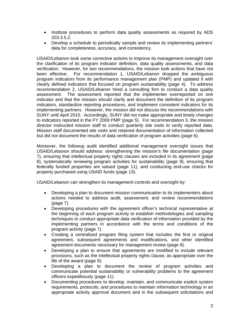- Institute procedures to perform data quality assessments as required by ADS 203.3.5.2.
- Develop a schedule to periodically sample and review its implementing partners' data for completeness, accuracy, and consistency.

director instructed mission staff to conduct quarterly site visits to verify reported data. USAID/Lebanon took some corrective actions to improve its management oversight over the clarification of its program indicator definition, data quality assessments, and data verification. However, for two recommendations, the mission took actions that have not been effective. For recommendation 1, USAID/Lebanon dropped the ambiguous program indicators from its performance management plan (PMP) and updated it with clearly defined indicators that focused on program sustainability (page 4). To address recommendation 2, USAID/Lebanon hired a consulting firm to conduct a data quality assessment. The assessment reported that the implementer overreported on one indicator and that the mission should clarify and document the definition of its program indicators, standardize reporting procedures, and implement consistent indicators for its implementing partners. However, the mission did not discuss the recommendations with SUNY until April 2010. Accordingly, SUNY did not make appropriate and timely changes to indicators reported in the FY 2009 PMP (page 5). For recommendation 3, the mission Mission staff documented site visits and retained documentation of information collected but did not document the results of data verification of program activities (page 6).

Moreover, the followup audit identified additional management oversight issues that USAID/Lebanon should address: strengthening the mission's file documentation (page 7), ensuring that intellectual property rights clauses are included in its agreement (page 8), systematically reviewing program activities for sustainability (page 9), ensuring that federally funded properties are valued (page 11), and conducting end-use checks for property purchased using USAID funds (page 13).

USAID/Lebanon can strengthen its management controls and oversight by:

- Developing a plan to document mission communication to its implementers about actions needed to address audit, assessment, and review recommendations (page 7).
- Developing procedures with the agreement officer's technical representative at the beginning of each program activity to establish methodologies and sampling techniques to conduct appropriate data verification of information provided by the implementing partners in accordance with the terms and conditions of the program activity (page 7).
- Creating a centralized program filing system that includes the first or original agreement, subsequent agreements and modifications, and other identified agreement documents necessary for management review (page 8).
- Developing a plan to ensure that agreements are modified to include relevant provisions, such as the intellectual property rights clause, as appropriate over the life of the award (page 9).
- Developing a plan to document the review of program activities and communicate potential sustainability or vulnerability problems to the agreement officers expeditiously (page 11).
- Documenting procedures to develop, maintain, and communicate explicit system requirements, protocols, and procedures to maintain information technology in an appropriate activity approval document and in the subsequent solicitations and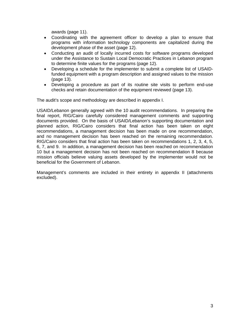awards (page 11).

- Coordinating with the agreement officer to develop a plan to ensure that programs with information technology components are capitalized during the development phase of the asset (page 12).
- Conducting an audit of locally incurred costs for software programs developed under the Assistance to Sustain Local Democratic Practices in Lebanon program to determine finite values for the programs (page 12).
- Developing a schedule for the implementer to submit a complete list of USAIDfunded equipment with a program description and assigned values to the mission (page 13).
- Developing a procedure as part of its routine site visits to perform end-use checks and retain documentation of the equipment reviewed (page 13).

The audit's scope and methodology are described in appendix I.

USAID/Lebanon generally agreed with the 10 audit recommendations. In preparing the final report, RIG/Cairo carefully considered management comments and supporting documents provided. On the basis of USAID/Lebanon's supporting documentation and planned action, RIG/Cairo considers that final action has been taken on eight recommendations, a management decision has been made on one recommendation, and no management decision has been reached on the remaining recommendation. RIG/Cairo considers that final action has been taken on recommendations 1, 2, 3, 4, 5, 6, 7, and 9. In addition, a management decision has been reached on recommendation 10 but a management decision has not been reached on recommendation 8 because mission officials believe valuing assets developed by the implementer would not be beneficial for the Government of Lebanon.

Management's comments are included in their entirety in appendix II (attachments excluded).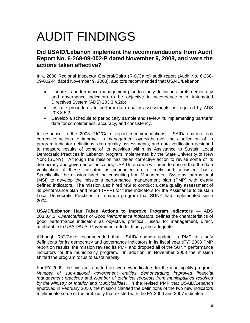# AUDIT FINDINGS

#### **Did USAID/Lebanon implement the recommendations from Audit Report No. 6-268-09-002-P dated November 9, 2008, and were the actions taken effective?**

In a 2008 Regional Inspector General/Cairo (RIG/Cairo) audit report (Audit No. 6-268- 09-002-P, dated November 9, 2008), auditors recommended that USAID/Lebanon:

- Update its performance management plan to clarify definitions for its democracy and governance indicators to be objective in accordance with Automated Directives System (ADS) 203.3.4.2(b).
- Institute procedures to perform data quality assessments as required by ADS 203.3.5.2.
- Develop a schedule to periodically sample and review its implementing partners' data for completeness, accuracy, and consistency.

In response to the 2008 RIG/Cairo report recommendations, USAID/Lebanon took corrective actions to improve its management oversight over the clarification of its program indicator definitions, data quality assessments, and data verification designed to measure results of some of its activities within its Assistance to Sustain Local Democratic Practices in Lebanon program implemented by the State University of New York (SUNY). Although the mission has taken corrective action to revise some of its democracy and governance indicators, USAID/Lebanon will need to ensure that the data verification of these indicators is conducted on a timely and consistent basis. Specifically, the mission hired the consulting firm Management Systems International (MSI) to develop the mission's performance management plan (PMP) with clearly defined indicators. The mission also hired MSI to conduct a data quality assessment of its performance plan and report (PPR) for three indicators for the Assistance to Sustain Local Democratic Practices in Lebanon program that SUNY had implemented since 2004.

**USAID/Lebanon Has Taken Actions to Improve Program Indicators —** ADS 203.3.4.2, *Characteristics of Good Performance Indicators*, defines the characteristics of good performance indicators as objective, practical, useful for management, direct, attributable to USAID/U.S. Government efforts, timely, and adequate.

Although RIG/Cairo recommended that USAID/Lebanon update its PMP to clarify definitions for its democracy and governance indicators in its fiscal year (FY) 2008 PMP report on results, the mission revised its PMP and dropped all of the SUNY performance indicators for the municipality program. In addition, in November 2008 the mission shifted the program focus to sustainability.

 For FY 2009, the mission reported on two new indicators for the municipality program:  *management practices* and *Number of technical requests from municipalities resolved Number of sub-national government entities demonstrating improved financial by the Ministry of Interior and Municipalities*. In the revised PMP that USAID/Lebanon approved in February 2010, the mission clarified the definitions of the two new indicators to eliminate some of the ambiguity that existed with the FY 2006 and 2007 indicators.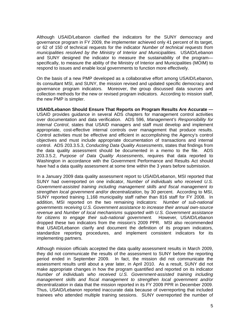and SUNY designed the indicator to measure the sustainability of the program-Although USAID/Lebanon clarified the indicators for the SUNY democracy and governance program in FY 2009, the implementer achieved only 41 percent of its target, or 62 of 150 of technical requests for the indicator *Number of technical requests from municipalities resolved by the Ministry of Interior and Municipalities.* USAID/Lebanon specifically, to measure the ability of the Ministry of Interior and Municipalities (MOIM) to respond to issues and enable local governments to function more effectively.

 the new PMP is simpler. On the basis of a new PMP developed as a collaborative effort among USAID/Lebanon, its consultant MSI, and SUNY, the mission revised and updated specific democracy and governance program indicators. Moreover, the group discussed data sources and collection methods for the new or revised program indicators. According to mission staff,

appropriate, cost-effective internal controls over management that produce results. **USAID/Lebanon Should Ensure That Reports on Program Results Are Accurate —**  USAID provides guidance in several ADS chapters for management control activities over documentation and data verification. ADS 596, *Management's Responsibility for Internal Control*, states that USAID managers and staff must develop and implement Control activities must be effective and efficient in accomplishing the Agency's control objectives and must include appropriate documentation of transactions and internal control. ADS 203.3.5.3, *Conducting Data Quality Assessments*, states that findings from the data quality assessment should be documented in a memo to the file. ADS 203.3.5.2, *Purpose of Data Quality Assessments*, requires that data reported to Washington in accordance with the Government Performance and Results Act should have had a data quality assessment at some time within the 3 years before submission.

 *for citizens to engage their sub-national government.* However*,* USAID/Lebanon  dropped these two indicators from the mission's 2009 PPR. MSI also recommended In a January 2009 data quality assessment report to USAID/Lebanon, MSI reported that SUNY had overreported on one indicator, *Number of individuals who received U.S. Government-assisted training including management skills and fiscal management to strengthen local government and/or decentralization*, by 30 percent. According to MSI, SUNY reported training 1,168 municipality staff rather than 816 staff for FY 2008. In addition, MSI reported on the two remaining indicators: *Number of sub-national governments receiving U.S. Government assistance to increase their annual own-source revenue* and *Number of local mechanisms supported with U.S. Government assistance*  that USAID/Lebanon clarify and document the definition of its program indicators, standardize reporting procedures, and implement consistent indicators for its implementing partners.

decentralization in data that the mission reported in its FY 2009 PPR in December 2009. Although mission officials accepted the data quality assessment results in March 2009, they did not communicate the results of the assessment to SUNY before the reporting period ended in September 2009. In fact, the mission did not communicate the assessment results until about a year later, in April 2010. As a result, SUNY did not make appropriate changes in how the program quantified and reported on its indicator *Number of individuals who received U.S. Government-assisted training including management skills and fiscal management to strengthen local government and/or*  Thus, USAID/Lebanon reported inaccurate data because of overreporting that included trainees who attended multiple training sessions. SUNY overreported the number of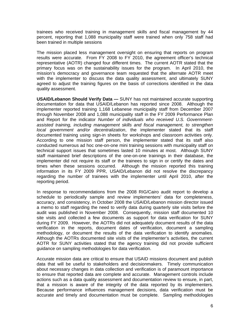trainees who received training in management skills and fiscal management by 44 percent, reporting that 1,088 municipality staff were trained when only 758 staff had been trained in multiple sessions

The mission placed less management oversight on ensuring that reports on program results were accurate. From FY 2008 to FY 2010, the agreement officer's technical representative (AOTR) changed four different times. The current AOTR stated that the primary focus was on the sustainability issues for the program. In April 2010, the mission's democracy and governance team requested that the alternate AOTR meet with the implementer to discuss the data quality assessment, and ultimately SUNY agreed to adjust the training figures on the basis of corrections identified in the data quality assessment.

documented training using sign-in sheets for workshops and classroom activities only. **USAID/Lebanon Should Verify Data —** SUNY has not maintained accurate supporting documentation for data that USAID/Lebanon has reported since 2008. Although the implementer reported training 1,168 Lebanese municipality staff from December 2007 through November 2008 and 1,088 municipality staff in the FY 2009 Performance Plan and Report for the indicator *Number of individuals who received U.S. Governmentassisted training, including management skills and fiscal management, to strengthen local government and/or decentralization*, the implementer stated that its staff According to one mission staff person, the implementer stated that its staff also conducted numerous ad hoc one-on-one mini training sessions with municipality staff on technical support issues that sometimes lasted 10 minutes at most. Although SUNY staff maintained brief descriptions of the one-on-one trainings in their database, the implementer did not require its staff or the trainees to sign in or certify the dates and times when these sessions occurred. Although the mission reported this training information in its FY 2009 PPR, USAID/Lebanon did not resolve the discrepancy regarding the number of trainees with the implementer until April 2010, after the reporting period.

In response to recommendations from the 2008 RIG/Cairo audit report to develop a schedule to periodically sample and review implementers' data for completeness, accuracy, and consistency, in October 2008 the USAID/Lebanon mission director issued a memo to staff regarding the need to verify data during quarterly site visits before the audit was published in November 2008. Consequently, mission staff documented 10 site visits and collected a few documents as support for data verification for SUNY during FY 2009. However, the AOTRs did not adequately document results of the data verification in the reports, document dates of verification, document a sampling methodology, or document the results of the data verification to identify anomalies. Although the AOTRs documented site visits of the implementer's activities, the current AOTR for SUNY activities stated that the agency training did not provide sufficient guidance on sampling methodologies for data verification.

that a mission is aware of the integrity of the data reported by its implementers. Accurate mission data are critical to ensure that USAID missions document and publish data that will be useful to stakeholders and decisionmakers. Timely communication about necessary changes in data collection and verification is of paramount importance to ensure that reported data are complete and accurate. Management controls include actions such as a data quality assessment and documentation review to ensure, in part, Because performance influences management decisions, data verification must be accurate and timely and documentation must be complete. Sampling methodologies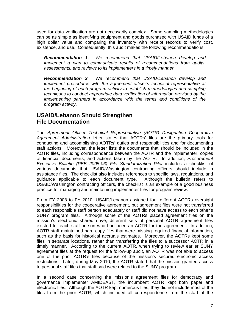used for data verification are not necessarily complex. Some sampling methodologies can be as simple as identifying equipment and goods purchased with USAID funds of a high dollar value and comparing the inventory with receipt records to verify cost, existence, and use. Consequently, this audit makes the following recommendations:

*Recommendation 1. We recommend that USAID/Lebanon develop and implement a plan to communicate results of recommendations from audits, assessments, and reviews to its implementers in a timely manner.* 

*Recommendation 2. We recommend that USAID/Lebanon develop and implement procedures with the agreement officer's technical representative at the beginning of each program activity to establish methodologies and sampling techniques to conduct appropriate data verification of information provided by the implementing partners in accordance with the terms and conditions of the program activity.* 

#### **USAID/Lebanon Should Strengthen File Documentation**

The *Agreement Officer Technical Representative (AOTR) Designation Cooperative Agreement Administration* letter states that AOTRs' files are the primary tools for conducting and accomplishing AOTRs' duties and responsibilities and for documenting staff actions. Moreover, the letter lists the documents that should be included in the AOTR files, including correspondence between the AOTR and the implementer, copies of financial documents, and actions taken by the AOTR. In addition, *Procurement Executive Bulletin (PEB 2005-06) File Standardization Pilot* includes a checklist of various documents that USAID/Washington contracting officers should include in assistance files. The checklist also includes references to specific laws, regulations, and guidance applicable to each document type. Although the bulletin refers to USAID/Washington contracting officers, the checklist is an example of a good business practice for managing and maintaining implementer files for program review.

From FY 2008 to FY 2010, USAID/Lebanon assigned four different AOTRs oversight responsibilities for the cooperative agreement, but agreement files were not transferred to each responsible staff person adequately or staff did not have access to each other's SUNY program files. Although some of the AOTRs placed agreement files on the mission's electronic shared drive, different sets of personal AOTR agreement files existed for each staff person who had been an AOTR for the agreement. In addition, AOTR staff maintained hard copy files that were missing required financial information, such as the basis for historical accruals estimates. Moreover, the AOTRs kept some files in separate locations, rather than transferring the files to a successor AOTR in a timely manner. According to the current AOTR, when trying to review earlier SUNY agreement files at the request for the follow-up audit, an AOTR was not able to access one of the prior AOTR's files because of the mission's secured electronic access restrictions. Later, during May 2010, the AOTR stated that the mission granted access to personal staff files that staff said were related to the SUNY program.

In a second case concerning the mission's agreement files for democracy and governance implementer AMIDEAST, the incumbent AOTR kept both paper and electronic files. Although the AOTR kept numerous files, they did not include most of the files from the prior AOTR, which included all correspondence from the start of the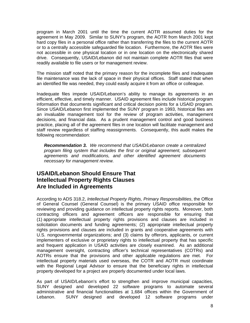program in March 2001 until the time the current AOTR assumed duties for the agreement in May 2009. Similar to SUNY's program, the AOTR from March 2001 kept hard copy files in a personal office rather than transferring the files to the current AOTR or to a centrally accessible safeguarded file location. Furthermore, the AOTR files were not accessible in one physical location or in one location on the electronically shared drive. Consequently, USAID/Lebanon did not maintain complete AOTR files that were readily available to file users or for management review.

The mission staff noted that the primary reason for the incomplete files and inadequate file maintenance was the lack of space in their physical offices. Staff stated that when an identified file was needed, they could easily acquire it from an office or colleague.

Inadequate files impede USAID/Lebanon's ability to manage its agreements in an efficient, effective, and timely manner. USAID agreement files include historical program information that documents significant and critical decision points for a USAID program. Since USAID/Lebanon first implemented the SUNY program in 1993, historical files are an invaluable management tool for the review of program activities, management decisions, and financial data. As a prudent management control and good business practice, placing all of the agreement files in one location will facilitate management and staff review regardless of staffing reassignments. Consequently, this audit makes the following recommendation:

 *Recommendation 3. We recommend that USAID/Lebanon create a centralized program filing system that includes the first or original agreement, subsequent agreements and modifications, and other identified agreement documents necessary for management review.* 

#### **USAID/Lebanon Should Ensure That Intellectual Property Rights Clauses Are Included in Agreements**

According to ADS 318.2, *Intellectual Property Rights, Primary Responsibilities*, the Office of General Counsel (General Counsel) is the primary USAID office responsible for reviewing and providing guidance on intellectual property rights reports. Moreover, both contracting officers and agreement officers are responsible for ensuring that (1) appropriate intellectual property rights provisions and clauses are included in solicitation documents and funding agreements; (2) appropriate intellectual property rights provisions and clauses are included in grants and cooperative agreements with U.S. nongovernmental organizations; and (3) claims by offerors, applicants, or current implementers of exclusive or proprietary rights to intellectual property that has specific and frequent application in USAID activities are closely examined. As an additional management oversight, contracting officer's technical representatives (COTRs) and AOTRs ensure that the provisions and other applicable regulations are met. For intellectual property materials used overseas, the COTR and AOTR must coordinate with the Regional Legal Advisor to ensure that the beneficiary rights in intellectual property developed for a project are properly documented under local laws.

As part of USAID/Lebanon's effort to strengthen and improve municipal capacities, SUNY designed and developed 22 software programs to automate several administrative and financial functionalities at 1,684 offices within the Government of Lebanon. SUNY designed and developed 12 software programs under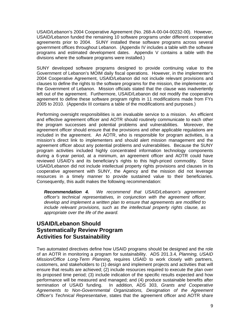USAID/Lebanon's 2004 Cooperative Agreement (No. 268-A-00-04-00232-00). However, USAID/Lebanon funded the remaining 10 software programs under different cooperative agreements prior to 2004. SUNY installed these software programs across several government offices throughout Lebanon. (Appendix IV includes a table with the software programs and estimated development dates. Appendix V contains a table with the divisions where the software programs were installed.)

SUNY developed software programs designed to provide continuing value to the Government of Lebanon's MOIM daily fiscal operations. However, in the implementer's 2004 Cooperative Agreement, USAID/Lebanon did not include relevant provisions and clauses to define the rights to the software programs for the mission, the implementer, or the Government of Lebanon. Mission officials stated that the clause was inadvertently left out of the agreement. Furthermore, USAID/Lebanon did not modify the cooperative agreement to define these software program rights in 11 modifications made from FYs 2005 to 2010. (Appendix III contains a table of the modifications and purposes.)

resources in a timely manner to provide sustained value to their beneficiaries.<br>Consequently, this audit makes the following recommendation: Performing oversight responsibilities is an invaluable service to a mission. An efficient and effective agreement officer and AOTR should routinely communicate to each other the program successes and potential problems and vulnerabilities. Moreover, the agreement officer should ensure that the provisions and other applicable regulations are included in the agreement. An AOTR, who is responsible for program activities, is a mission's direct link to implementers and should alert mission management and the agreement officer about any potential problems and vulnerabilities. Because the SUNY program activities included highly concentrated information technology components during a 6-year period, at a minimum, an agreement officer and AOTR could have reviewed USAID's and its beneficiary's rights to this high-priced commodity. Since USAID/Lebanon did not include intellectual property rights provisions and clauses in its cooperative agreement with SUNY, the Agency and the mission did not leverage

*Recommendation 4. We recommend that USAID/Lebanon's agreement officer's technical representatives, in conjunction with the agreement officer, develop and implement a written plan to ensure that agreements are modified to include relevant provisions, such as the intellectual property rights clause, as appropriate over the life of the award.* 

#### **USAID/Lebanon Should Systematically Review Program Activities for Sustainability**

Two automated directives define how USAID programs should be designed and the role of an AOTR in monitoring a program for sustainability. ADS 201.3.4, *Planning, USAID Mission/Office Long-Term Planning*, requires USAID to work closely with partners, customers, and stakeholders to (1) design and implement projects and activities that will ensure that results are achieved; (2) include resources required to execute the plan over its proposed time period; (3) include indication of the specific results expected and how performance will be measured and managed; and (4) produce sustainable benefits after termination of USAID funding. In addition, ADS 303, *Grants and Cooperative Agreements to Non-Governmental Organizations, Designation of the Agreement Officer's Technical Representative*, states that the agreement officer and AOTR share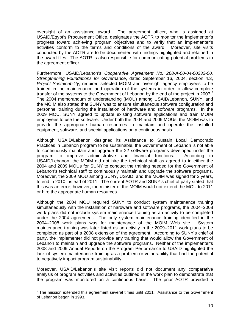oversight of an assistance award. The agreement officer, who is assigned at USAID/Egypt's Procurement Office, designates the AOTR to monitor the implementer's progress toward achieving program objectives and to verify that an implementer's activities conform to the terms and conditions of the award. Moreover, site visits conducted by the AOTR are to be documented with findings highlighted and retained in the award files. The AOTR is also responsible for communicating potential problems to the agreement officer.

transfer of the systems to the Government of Lebanon by the end of the project in 2007.<sup>2</sup> equipment, software, and special applications on a continuous basis. Furthermore, USAID/Lebanon's *Cooperative Agreement No. 268-A-00-04-00232-00, Strengthening Foundations for Governance*, dated September 16, 2004, section 4.3, *Project Sustainability*, required selected MOIM and oversight agency employees to be trained in the maintenance and operation of the systems in order to allow complete The 2004 memorandum of understanding (MOU) among USAID/Lebanon, SUNY, and the MOIM also stated that SUNY was to ensure simultaneous software configuration and personnel training during the installation of hardware and software programs. In the 2009 MOU, SUNY agreed to update existing software applications and train MOIM employees to use the software. Under both the 2004 and 2009 MOUs, the MOIM was to provide the appropriate human resources to maintain and operate the installed

Although USAID/Lebanon designed its Assistance to Sustain Local Democratic Practices in Lebanon program to be sustainable, the Government of Lebanon is not able to continuously maintain and upgrade the 22 software programs developed under the program to improve administrative and financial functions. According to USAID/Lebanon, the MOIM did not hire the technical staff as agreed to in either the 2004 and 2009 MOUs for SUNY to conduct the training needed for the Government of Lebanon's technical staff to continuously maintain and upgrade the software programs. Moreover, the 2009 MOU among SUNY, USAID, and the MOIM was signed for 2 years, to end in 2010 instead of 2011. The current AOTR and SUNY's chief of party stated that this was an error; however, the minister of the MOIM would not extend the MOU to 2011 or hire the appropriate human resources.

Although the 2004 MOU required SUNY to conduct system maintenance training simultaneously with the installation of hardware and software programs, the 2004–2008 work plans did not include system maintenance training as an activity to be completed under the 2004 agreement. The only system maintenance training identified in the 2004–2008 work plans was for maintenance of the MOIM Web site. System maintenance training was later listed as an activity in the 2009–2011 work plans to be completed as part of a 2008 extension of the agreement. According to SUNY's chief of party, the implementer did not provide any training that would allow the Government of Lebanon to maintain and upgrade the software programs. Neither of the implementer's 2008 and 2009 Annual Reports on the Program Performance to USAID highlighted the lack of system maintenance training as a problem or vulnerability that had the potential to negatively impact program sustainability.

Moreover, USAID/Lebanon's site visit reports did not document any comparative analysis of program activities and activities outlined in the work plan to demonstrate that the program was monitored on a continuous basis. The prior AOTR provided a

 $\overline{\phantom{a}}$ 

 $2$  The mission extended this agreement several times until 2011. Assistance to the Government of Lebanon began in 1993.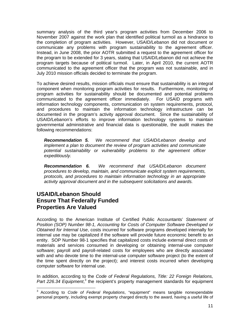summary analysis of the third year's program activities from December 2006 to November 2007 against the work plan that identified political turmoil as a hindrance to the completion of program activities. However, USAID/Lebanon did not document or communicate any problems with program sustainability to the agreement officer. Instead, in June 2008, the prior AOTR submitted a request to the agreement officer for the program to be extended for 3 years, stating that USAID/Lebanon did not achieve the program targets because of political turmoil. Later, in April 2010, the current AOTR communicated to the agreement officer that the program was not sustainable, and in July 2010 mission officials decided to terminate the program.

To achieve desired results, mission officials must ensure that sustainability is an integral component when monitoring program activities for results. Furthermore, monitoring of program activities for sustainability should be documented and potential problems communicated to the agreement officer immediately. For USAID programs with information technology components, communication on system requirements, protocol, and procedures to maintain the information technology infrastructure can be documented in the program's activity approval document. Since the sustainability of USAID/Lebanon's efforts to improve information technology systems to maintain governmental administrative and financial data is questionable, the audit makes the following recommendations:

*Recommendation 5. We recommend that USAID/Lebanon develop and implement a plan to document the review of program activities and communicate potential sustainability or vulnerability problems to the agreement officer expeditiously.* 

*Recommendation 6. We recommend that USAID/Lebanon document procedures to develop, maintain, and communicate explicit system requirements, protocols, and procedures to maintain information technology in an appropriate activity approval document and in the subsequent solicitations and awards.* 

#### **USAID/Lebanon Should Ensure That Federally Funded Properties Are Valued**

 $\overline{1}$ 

According to the American Institute of Certified Public Accountants' *Statement of Position (SOP) Number 98-1, Accounting for Costs of Computer Software Developed or Obtained for Internal Use*, costs incurred for software programs developed internally for internal use may be capitalized if the software will provide future economic benefit to an entity. SOP Number 98-1 specifies that capitalized costs include external direct costs of materials and services consumed in developing or obtaining internal-use computer software; payroll and payroll-related costs for employees who are directly associated with and who devote time to the internal-use computer software project (to the extent of the time spent directly on the project); and interest costs incurred when developing computer software for internal use.

In addition, according to the *Code of Federal Regulations, Title: 22 Foreign Relations,*  Part 226.34 Equipment,<sup>3</sup> the recipient's property management standards for equipment

<sup>3</sup> According to *Code of Federal Regulations*, "equipment" means tangible nonexpendable personal property, including exempt property charged directly to the award, having a useful life of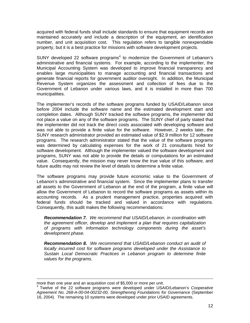acquired with federal funds shall include standards to ensure that equipment records are maintained accurately and include a description of the equipment, an identification number, and unit acquisition cost. This regulation refers to tangible nonexpendable property, but it is a best practice for missions with software development projects.

SUNY developed 22 software programs $4$  to modernize the Government of Lebanon's administrative and financial systems. For example, according to the implementer, the Municipal Accounting System was developed to improve financial transparency and enables large municipalities to manage accounting and financial transactions and generate financial reports for government auditor oversight. In addition, the Municipal Revenue System organizes the assessment and collection of fees due to the Government of Lebanon under various laws, and it is installed in more than 700 municipalities.

future audits may not review the level of details to determine a finite value. The implementer's records of the software programs funded by USAID/Lebanon since before 2004 include the software name and the estimated development start and completion dates. Although SUNY tracked the software programs, the implementer did not place a value on any of the software programs. The SUNY chief of party stated that the implementer did not track the direct costs associated with developing software and was not able to provide a finite value for the software. However, 2 weeks later, the SUNY research administrator provided an estimated value of \$2.9 million for 12 software programs. The research administrator stated that the value of the software programs was determined by calculating expenses for the work of 21 consultants hired for software development. Although the implementer valued the software development and programs, SUNY was not able to provide the details or computations for an estimated value. Consequently, the mission may never know the true value of this software, and

federal funds should be tracked and valued in accordance with regulations.<br>Consequently, this audit makes the following recommendations: The software programs may provide future economic value to the Government of Lebanon's administrative and financial system. Since the implementer plans to transfer all assets to the Government of Lebanon at the end of the program, a finite value will allow the Government of Lebanon to record the software programs as assets within its accounting records. As a prudent management practice, properties acquired with

 *Recommendation 7. We recommend that USAID/Lebanon, in coordination with the agreement officer, develop and implement a plan that requires capitalization of programs with information technology components during the asset's development phase.* 

 *Recommendation 8. We recommend that USAID/Lebanon conduct an audit of locally incurred cost for software programs developed under the Assistance to Sustain Local Democratic Practices in Lebanon program to determine finite values for the programs.* 

more than one year and an acquisition cost of \$5,000 or more per unit.

<sup>4</sup> Twelve of the 22 software programs were developed under USAID/Lebanon's *Cooperative Agreement No. 268-A-00-04-00232-00, Strengthening Foundations for Governance* (September 16, 2004). The remaining 10 systems were developed under prior USAID agreements.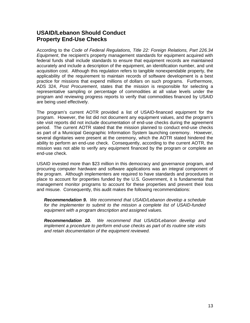#### **USAID/Lebanon Should Conduct Property End-Use Checks**

 *Equipment*, the recipient's property management standards for equipment acquired with According to the *Code of Federal Regulations, Title 22: Foreign Relations, Part 226.34*  federal funds shall include standards to ensure that equipment records are maintained accurately and include a description of the equipment, an identification number, and unit acquisition cost. Although this regulation refers to tangible nonexpendable property, the applicability of the requirement to maintain records of software development is a best practice for missions that expend millions of dollars on such programs. Furthermore, ADS 324, *Post Procurement*, states that the mission is responsible for selecting a representative sampling or percentage of commodities at all value levels under the program and reviewing progress reports to verify that commodities financed by USAID are being used effectively.

The program's current AOTR provided a list of USAID-financed equipment for the program. However, the list did not document any equipment values, and the program's site visit reports did not include documentation of end-use checks during the agreement period. The current AOTR stated that the mission planned to conduct end-use checks as part of a Municipal Geographic Information System launching ceremony. However, several dignitaries were present at the ceremony, which the AOTR stated hindered the ability to perform an end-use check. Consequently, according to the current AOTR, the mission was not able to verify any equipment financed by the program or complete an end-use check.

USAID invested more than \$23 million in this democracy and governance program, and procuring computer hardware and software applications was an integral component of the program. Although implementers are required to have standards and procedures in place to account for properties funded by the U.S. Government, it is fundamental that management monitor programs to account for these properties and prevent their loss and misuse. Consequently, this audit makes the following recommendations:

 *Recommendation 9. We recommend that USAID/Lebanon develop a schedule for the implementer to submit to the mission a complete list of USAID-funded equipment with a program description and assigned values.* 

*Recommendation 10. We recommend that USAID/Lebanon develop and implement a procedure to perform end-use checks as part of its routine site visits and retain documentation of the equipment reviewed.*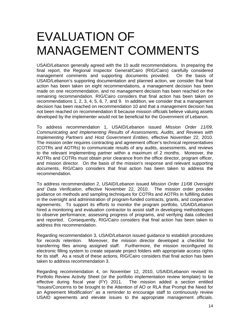## EVALUATION OF MANAGEMENT COMMENTS

USAID/Lebanon generally agreed with the 10 audit recommendations. In preparing the final report, the Regional Inspector General/Cairo (RIG/Cairo) carefully considered management comments and supporting documents provided. On the basis of USAID/Lebanon's supporting documentation and planned action, we consider that final action has been taken on eight recommendations, a management decision has been made on one recommendation, and no management decision has been reached on the remaining recommendation. RIG/Cairo considers that final action has been taken on recommendations 1, 2, 3, 4, 5, 6, 7, and 9. In addition, we consider that a management decision has been reached on recommendation 10 and that a management decision has not been reached on recommendation 8 because mission officials believe valuing assets developed by the implementer would not be beneficial for the Government of Lebanon.

To address recommendation 1, USAID/Lebanon issued *Mission Order 11/09, Communicating and Implementing Results of Assessments, Audits, and Reviews with Implementing Partners and Host Government Entities*, effective November 22, 2010. The mission order requires contracting and agreement officer's technical representatives (COTRs and AOTRs) to communicate results of any audits, assessments, and reviews to the relevant implementing partner within a maximum of 2 months. Moreover, the AOTRs and COTRs must obtain prior clearance from the office director, program officer, and mission director. On the basis of the mission's response and relevant supporting documents, RIG/Cairo considers that final action has been taken to address the recommendation.

To address recommendation 2, USAID/Lebanon issued *Mission Order 11/08 Oversight and Data Verification*, effective November 22, 2010. The mission order provides guidance on methods and sampling techniques for COTRs and AOTRs in fulfilling duties in the oversight and administration of program-funded contracts, grants, and cooperative agreements. To support its efforts to monitor the program portfolio, USAID/Lebanon hired a monitoring and evaluation contractor to assist staff in developing methodologies to observe performance, assessing progress of programs, and verifying data collected and reported. Consequently, RIG/Cairo considers that final action has been taken to address this recommendation.

Regarding recommendation 3, USAID/Lebanon issued guidance to establish procedures for records retention. Moreover, the mission director developed a checklist for transferring files among assigned staff. Furthermore, the mission reconfigured its electronic filling system to create separate project folders with appropriate access rights for its staff. As a result of these actions, RIG/Cairo considers that final action has been taken to address recommendation 3.

Regarding recommendation 4, on November 12, 2010, USAID/Lebanon revised its Portfolio Review Activity Sheet (or the portfolio implementation review template) to be effective during fiscal year (FY) 2011. The mission added a section entitled "Issues/Concerns to be brought to the Attention of AO or RLA that Prompt the Need for an Agreement Modification" as a reminder to encourage staff to continuously review USAID agreements and elevate issues to the appropriate management officials.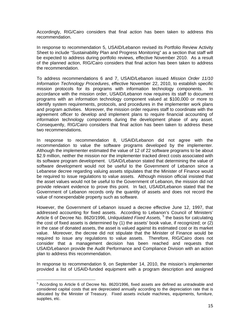Accordingly, RIG/Cairo considers that final action has been taken to address this recommendation.

In response to recommendation 5, USAID/Lebanon revised its Portfolio Review Activity Sheet to include "Sustainability Plan and Progress Monitoring" as a section that staff will be expected to address during portfolio reviews, effective November 2010. As a result of the planned action, RIG/Cairo considers that final action has been taken to address the recommendation.

information technology components during the development phase of any asset. To address recommendations 6 and 7, USAID/Lebanon issued *Mission Order 11/10 Information Technology Procedures*, effective November 22, 2010, to establish specific mission protocols for its programs with information technology components. In accordance with the mission order, USAID/Lebanon now requires its staff to document programs with an information technology component valued at \$100,000 or more to identify system requirements, protocols, and procedures in the implementer work plans and program activities. Moreover, the mission order requires staff to coordinate with the agreement officer to develop and implement plans to require financial accounting of Consequently, RIG/Cairo considers that final action has been taken to address these two recommendations.

recommendation to value the software programs developed by the implementer. In response to recommendation 8, USAID/Lebanon did not agree with the Although the implementer estimated the value of 12 of 22 software programs to be about \$2.9 million, neither the mission nor the implementer tracked direct costs associated with its software program development. USAID/Lebanon stated that determining the value of software development would not be useful to the Government of Lebanon since a Lebanese decree regarding valuing assets stipulates that the Minister of Finance would be required to issue regulations to value assets. Although mission official insisted that the asset values would not be useful to the Government of Lebanon, the mission did not provide relevant evidence to prove this point. In fact, USAID/Lebanon stated that the Government of Lebanon records only the quantity of assets and does not record the value of nonexpendable property such as software.

However, the Government of Lebanon issued a decree effective June 12, 1997, that addressed accounting for fixed assets. According to Lebanon's Council of Ministers' Article 6 of Decree No. 8620/1996, *Unliquidated Fixed Assets,* <sup>5</sup> the basis for calculating the cost of fixed assets is determined by  $(1)$  the assets' book value, if recognized: or  $(2)$ in the case of donated assets, the asset is valued against its estimated cost or its market value. Moreover, the decree did not stipulate that the Minister of Finance would be required to issue any regulations to value assets. Therefore, RIG/Cairo does not consider that a management decision has been reached and requests that USAID/Lebanon provide the Audit Performance and Compliance Division with an action plan to address this recommendation.

In response to recommendation 9, on September 14, 2010, the mission's implementer provided a list of USAID-funded equipment with a program description and assigned

supplies, etc. <sup>5</sup> According to Article 6 of Decree No. 8620/1996, fixed assets are defined as untradeable and considered capital costs that are depreciated annually according to the depreciation rate that is allocated by the Minister of Treasury. Fixed assets include machines, equipments, furniture, supplies, etc. 15. In the contract of the contract of the contract of the contract of the contract of the contract of the contract of the contract of the contract of the contract of the contract of the contract of the cont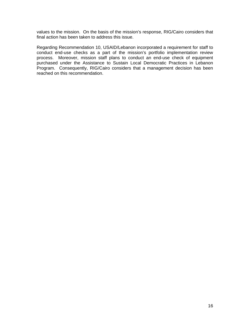final action has been taken to address this issue. values to the mission. On the basis of the mission's response, RIG/Cairo considers that

Regarding Recommendation 10, USAID/Lebanon incorporated a requirement for staff to conduct end-use checks as a part of the mission's portfolio implementation review process. Moreover, mission staff plans to conduct an end-use check of equipment purchased under the Assistance to Sustain Local Democratic Practices in Lebanon Program. Consequently, RIG/Cairo considers that a management decision has been reached on this recommendation.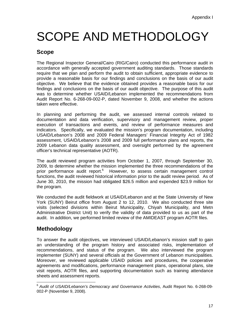# SCOPE AND METHODOLOGY

### **Scope**

The Regional Inspector General/Cairo (RIG/Cairo) conducted this performance audit in accordance with generally accepted government auditing standards. Those standards require that we plan and perform the audit to obtain sufficient, appropriate evidence to provide a reasonable basis for our findings and conclusions on the basis of our audit objective. We believe that the evidence obtained provides a reasonable basis for our findings and conclusions on the basis of our audit objective. The purpose of this audit was to determine whether USAID/Lebanon implemented the recommendations from Audit Report No. 6-268-09-002-P, dated November 9, 2008, and whether the actions taken were effective.

 indicators. Specifically, we evaluated the mission's program documentation, including In planning and performing the audit, we assessed internal controls related to documentation and data verification, supervisory and management review, proper execution of transactions and events, and review of performance measures and USAID/Lebanon's 2008 and 2009 Federal Managers' Financial Integrity Act of 1982 assessment, USAID/Lebanon's 2008 and 2009 full performance plans and reports, the 2009 Lebanon data quality assessment, and oversight performed by the agreement officer's technical representative (AOTR).

prior performance audit report.<sup>6</sup> However, to assess certain management control The audit reviewed program activities from October 1, 2007, through September 30, 2009, to determine whether the mission implemented the three recommendations of the functions, the audit reviewed historical information prior to the audit review period. As of June 30, 2010, the mission had obligated \$26.5 million and expended \$23.9 million for the program.

We conducted the audit fieldwork at USAID/Lebanon and at the State University of New York (SUNY) Beirut office from August 2 to 12, 2010. We also conducted three site visits (selected divisions within Beirut Municipality, Chiyah Municipality, and Metn Administrative District Unit) to verify the validity of data provided to us as part of the audit. In addition, we performed limited review of the AMIDEAST program AOTR files.

### **Methodology**

To answer the audit objectives, we interviewed USAID/Lebanon's mission staff to gain an understanding of the program history and associated risks, implementation of recommendations, and status of the program. We also interviewed the program implementer (SUNY) and several officials at the Government of Lebanon municipalities. Moreover, we reviewed applicable USAID policies and procedures, the cooperative agreements and modifications, performance management plans, operational plans, site visit reports, AOTR files, and supporting documentation such as training attendance sheets and assessment reports.

<sup>-</sup><sup>6</sup>*Audit of USAID/Lebanon's Democracy and Governance Activities*, Audit Report No. 6-268-09- 002-P (November 9, 2008).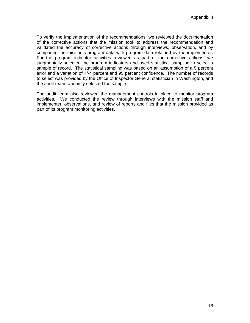To verify the implementation of the recommendations, we reviewed the documentation of the corrective actions that the mission took to address the recommendation and validated the accuracy of corrective actions through interviews, observation, and by comparing the mission's program data with program data retained by the implementer. For the program indicator activities reviewed as part of the corrective actions, we judgmentally selected the program indicators and used statistical sampling to select a sample of record. The statistical sampling was based on an assumption of a 5 percent error and a variation of +/-4 percent and 95 percent confidence. The number of records to select was provided by the Office of Inspector General statistician in Washington, and the audit team randomly selected the sample.

The audit team also reviewed the management controls in place to monitor program activities. We conducted the review through interviews with the mission staff and implementer, observations, and review of reports and files that the mission provided as part of its program monitoring activities.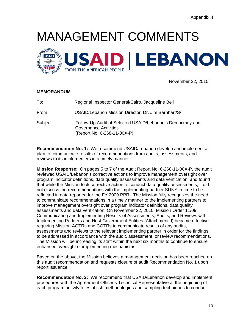# MANAGEMENT COMMENTS



November 22, 2010

#### **MEMORANDUM**

| To:      | Regional Inspector General/Cairo, Jacqueline Bell                                                                        |
|----------|--------------------------------------------------------------------------------------------------------------------------|
| From:    | USAID/Lebanon Mission Director, Dr. Jim Barnhart/S/                                                                      |
| Subject: | Follow-Up Audit of Selected USAID/Lebanon's Democracy and<br><b>Governance Activities</b><br>(Report No. 6-268-11-00X-P) |

**Recommendation No. 1:** We recommend USAID/Lebanon develop and implement a plan to communicate results of recommendations from audits, assessments, and reviews to its implementers in a timely manner.

**Mission Response**: On pages 5 to 7 of the Audit Report No. 6-268-11-00X-P, the audit reviewed USAID/Lebanon's corrective actions to improve management oversight over program indicator definitions, data quality assessments and data verification, and found that while the Mission took corrective action to conduct data quality assessments, it did not discuss the recommendations with the implementing partner SUNY in time to be reflected in data reported for the FY 2009 PPR. The Mission fully recognizes the need to communicate recommendations in a timely manner to the implementing partners to improve management oversight over program indicator definitions, data quality assessments and data verification. On November 22, 2010, Mission Order 11/09 Communicating and Implementing Results of Assessments, Audits, and Reviews with Implementing Partners and Host Government Entities (Attachment J) became effective requiring Mission AOTRs and COTRs to communicate results of any audits, assessments and reviews to the relevant implementing partner in order for the findings to be addressed in accordance with the audit, assessment, or review recommendations. The Mission will be increasing its staff within the next six months to continue to ensure enhanced oversight of implementing mechanisms.

Based on the above, the Mission believes a management decision has been reached on this audit recommendation and requests closure of audit Recommendation No. 1 upon report issuance.

**Recommendation No. 2:** We recommend that USAID/Lebanon develop and implement procedures with the Agreement Officer's Technical Representative at the beginning of each program activity to establish methodologies and sampling techniques to conduct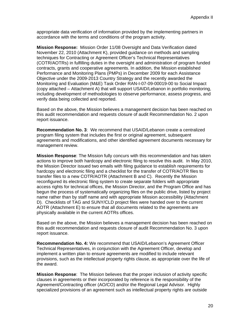appropriate data verification of information provided by the implementing partners in accordance with the terms and conditions of the program activity.

**Mission Response:** Mission Order 11/08 Oversight and Data Verification dated November 22, 2010 (Attachment K), provided guidance on methods and sampling techniques for Contracting or Agreement Officer's Technical Representatives (COTR/AOTRs) in fulfilling duties in the oversight and administration of program funded contracts, grants and cooperative agreements. In addition, the Mission established Performance and Monitoring Plans (PMPs) in December 2009 for each Assistance Objective under the 2009-2013 Country Strategy and the recently awarded the Monitoring and Evaluation (M&E) Task Order RAN-I-07-09-00019-00 to Social Impact (copy attached – Attachment A) that will support USAID/Lebanon in portfolio monitoring, including development of methodologies to observe performance, assess progress, and verify data being collected and reported.

Based on the above, the Mission believes a management decision has been reached on this audit recommendation and requests closure of audit Recommendation No. 2 upon report issuance.

**Recommendation No. 3**: We recommend that USAID/Lebanon create a centralized program filing system that includes the first or original agreement, subsequent agreements and modifications, and other identified agreement documents necessary for management review.

**Mission Response**: The Mission fully concurs with this recommendation and has taken actions to improve both hardcopy and electronic filing to resolve this audit. In May 2010, the Mission Director issued two emails with filing guidance to establish requirements for hardcopy and electronic filing and a checklist for the transfer of COTR/AOTR files to transfer files to a new COTR/AOTR (Attachment B and C). Recently the Mission reconfigured its electronic filing system to create separate folders with appropriate access rights for technical offices, the Mission Director, and the Program Office and has begun the process of systematically organizing files on the public drive, listed by project name rather than by staff name and with appropriate Mission accessibility (Attachment D). Checklists of TAG and SUNY/CLD project files were handed over to the current AOTR (Attachment E) to ensure that all documents related to the agreements are physically available in the current AOTRs offices.

Based on the above, the Mission believes a management decision has been reached on this audit recommendation and requests closure of audit Recommendation No. 3 upon report issuance.

**Recommendation No. 4:** We recommend that USAID/Lebanon's Agreement Officer Technical Representatives, in conjunction with the Agreement Officer, develop and implement a written plan to ensure agreements are modified to include relevant provisions, such as the intellectual property rights clause, as appropriate over the life of the award.

**Mission Response**: The Mission believes that the proper inclusion of activity specific clauses in agreements or their incorporated by reference is the responsibility of the Agreement/Contracting officer (AO/CO) and/or the Regional Legal Advisor. Highly specialized provisions of an agreement such as intellectual property rights are outside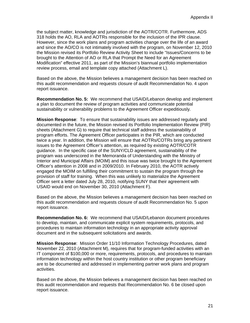the subject matter, knowledge and jurisdiction of the AOTR/COTR. Furthermore, ADS 318 holds the AO, RLA and AOTRs responsible for the inclusion of the IPR clause. However, since the work plans and program activities change over the life of an award and since the AO/CO is not intimately involved with the program, on November 12, 2010 the Mission revised its Portfolio Review Activity Sheet to include "Issues/Concerns to be brought to the Attention of AO or RLA that Prompt the Need for an Agreement Modification" effective 2011, as part of the Mission's biannual portfolio implementation review process, email and template copy attached (Attachment L).

Based on the above, the Mission believes a management decision has been reached on this audit recommendation and requests closure of audit Recommendation No. 4 upon report issuance.

**Recommendation No. 5:** We recommend that USAID/Lebanon develop and implement a plan to document the review of program activities and communicate potential sustainability or vulnerability problems to the Agreement Officer expeditiously*.* 

**Mission Response**: To ensure that sustainability issues are addressed regularly and documented in the future, the Mission revised its Portfolio Implementation Review (PIR) sheets (Attachment G) to require that technical staff address the sustainability of program efforts. The Agreement Officer participates in the PIR, which are conducted twice a year. In addition, the Mission will ensure that AOTRs/COTRs bring any pertinent issues to the Agreement Officer's attention, as required by existing AOTR/COTR guidance. In the specific case of the SUNY/CLD agreement, sustainability of the program was underscored in the Memoranda of Understanding with the Ministry of Interior and Municipal Affairs (MOIM) and this issue was twice brought to the Agreement Officer's attention in 2008 and in 2009/2010. In February 2010, the AOTR actively engaged the MOIM on fulfilling their commitment to sustain the program through the provision of staff for training. When this was unlikely to materialize the Agreement Officer sent a letter dated July 28, 2010, notifying SUNY that their agreement with USAID would end on November 30, 2010 (Attachment F).

Based on the above, the Mission believes a management decision has been reached on this audit recommendation and requests closure of audit Recommendation No. 5 upon report issuance.

**Recommendation No. 6:** We recommend that USAID/Lebanon document procedures to develop, maintain, and communicate explicit system requirements, protocols, and procedures to maintain information technology in an appropriate activity approval document and in the subsequent solicitations and awards.

**Mission Response**: Mission Order 11/10 Information Technology Procedures, dated November 22, 2010 (Attachment M), requires that for program-funded activities with an IT component of \$100,000 or more, requirements, protocols, and procedures to maintain information technology within the host country institution or other program beneficiary are to be documented and addressed in implementing partner work plans and program activities.

Based on the above, the Mission believes a management decision has been reached on this audit recommendation and requests that Recommendation No. 6 be closed upon report issuance.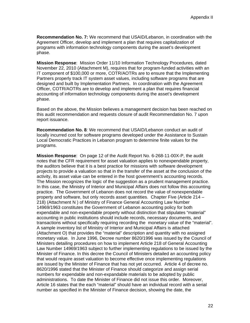**Recommendation No. 7:** We recommend that USAID/Lebanon, in coordination with the Agreement Officer, develop and implement a plan that requires capitalization of programs with information technology components during the asset's development phase.

**Mission Response**: Mission Order 11/10 Information Technology Procedures, dated November 22, 2010 (Attachment M), requires that for program-funded activities with an IT component of \$100,000 or more, COTR/AOTRs are to ensure that the Implementing Partners properly track IT system asset values, including software programs that are designed and built by Implementation Partners. In coordination with the Agreement Officer, COTR/AOTRs are to develop and implement a plan that requires financial accounting of information technology components during the asset's development phase.

Based on the above, the Mission believes a management decision has been reached on this audit recommendation and requests closure of audit Recommendation No. 7 upon report issuance.

**Recommendation No. 8***:* We recommend that USAID/Lebanon conduct an audit of locally incurred cost for software programs developed under the Assistance to Sustain Local Democratic Practices in Lebanon program to determine finite values for the programs.

**Mission Response**: On page 12 of the Audit Report No. 6-268-11-00X-P, the audit notes that the CFR requirement for asset valuation applies to nonexpendable property, the auditors believe that it is a best practice for missions with software development projects to provide a valuation so that in the transfer of the asset at the conclusion of the activity, its asset value can be entered in the host government's accounting records. The Mission recognizes the logic of the suggestion as a prudent management practice. In this case, the Ministry of Interior and Municipal Affairs does not follow this accounting practice. The Government of Lebanon does not record the value of nonexpendable property and software, but only records asset quantities. Chapter Five (Article 214 – 218) (Attachment N ) of Ministry of Finance General Accounting Law Number 14969/1963 constitutes the Government of Lebanon accounting policy for both expendable and non-expendable property without distinction that stipulates "material" accounting in public institutions should include records, necessary documents, and transactions without specifically requiring recording the monetary value of the "material". A sample inventory list of Ministry of Interior and Municipal Affairs is attached (Attachment O) that provides the "material" description and quantity with no assigned monetary value. In June 1996, Decree number 8620/1996 was issued by the Council of Ministers detailing procedures on how to implement Article 218 of General Accounting Law Number 14969/1963 subject to further implementing regulations to be issued by the Minister of Finance. In this decree the Council of Ministers detailed an accounting policy that would require asset valuation to become effective once implementing regulations are issued by the Minister of Finance that has not yet occurred. Article 4 of decree no. 8620/1996 stated that the Minister of Finance should categorize and assign serial numbers for expendable and non-expandable materials to be adopted by public administrations. To date the Minister of Finance did not issue this order. Moreover, Article 16 states that the each "material" should have an individual record with a serial number as specified in the Minister of Finance decision, showing the date, the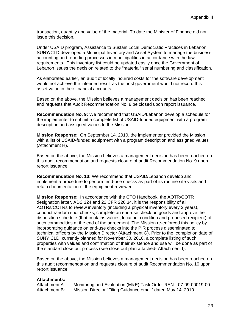transaction, quantity and value of the material. To date the Minister of Finance did not issue this decision.

Under USAID program, Assistance to Sustain Local Democratic Practices in Lebanon, SUNY/CLD developed a Municipal Inventory and Asset System to manage the business, accounting and reporting processes in municipalities in accordance with the law requirements. This inventory list could be updated easily once the Government of Lebanon issues the decision related to the "material" serial numbering and classification.

As elaborated earlier, an audit of locally incurred costs for the software development would not achieve the intended result as the host government would not record this asset value in their financial accounts.

Based on the above, the Mission believes a management decision has been reached and requests that Audit Recommendation No. 8 be closed upon report issuance.

**Recommendation No. 9:** We recommend that USAID/Lebanon develop a schedule for the implementer to submit a complete list of USAID-funded equipment with a program description and assigned values to the Mission.

**Mission Response:** On September 14, 2010, the implementer provided the Mission with a list of USAID-funded equipment with a program description and assigned values (Attachment H).

Based on the above, the Mission believes a management decision has been reached on this audit recommendation and requests closure of audit Recommendation No. 9 upon report issuance.

**Recommendation No. 10:** We recommend that USAID/Lebanon develop and implement a procedure to perform end-use checks as part of its routine site visits and retain documentation of the equipment reviewed.

**Mission Response:** In accordance with the CTO Handbook, the AOTR/COTR designation letter, ADS 324 and 22 CFR 226.34, it is the responsibility of all AOTRs/COTRs to review inventory (including a physical inventory every 2 years), conduct random spot checks, complete an end-use check on goods and approve the disposition schedule (that contains values, location, condition and proposed recipient) of such commodities at the end of the agreement. The Mission re-enforced this policy by incorporating guidance on end-use checks into the PIR process disseminated to technical officers by the Mission Director (Attachment G). Prior to the completion date of SUNY CLD, currently planned for November 30, 2010, a complete listing of such properties with values and confirmation of their existence and use will be done as part of the standard close out process (see close out plan attached- Attachment I).

Based on the above, the Mission believes a management decision has been reached on this audit recommendation and requests closure of audit Recommendation No. 10 upon report issuance.

#### **Attachments:**

Attachment A: Monitoring and Evaluation (M&E) Task Order RAN-I-07-09-00019-00 Attachment B: Mission Director "Filing Guidance email" dated May 14, 2010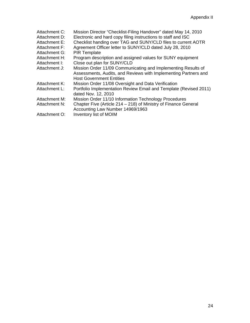| Attachment C:<br>Attachment D:<br>Attachment E:<br>Attachment F: | Mission Director "Checklist-Filing Handover" dated May 14, 2010<br>Electronic and hard copy filing instructions to staff and ISC<br>Checklist handing over TAG and SUNY/CLD files to current AOTR<br>Agreement Officer letter to SUNY/CLD dated July 28, 2010 |
|------------------------------------------------------------------|---------------------------------------------------------------------------------------------------------------------------------------------------------------------------------------------------------------------------------------------------------------|
| Attachment G:                                                    | <b>PIR Template</b>                                                                                                                                                                                                                                           |
| Attachment H:                                                    | Program description and assigned values for SUNY equipment                                                                                                                                                                                                    |
| Attachment I:                                                    | Close out plan for SUNY/CLD                                                                                                                                                                                                                                   |
| Attachment J:                                                    | Mission Order 11/09 Communicating and Implementing Results of<br>Assessments, Audits, and Reviews with Implementing Partners and<br><b>Host Government Entities</b>                                                                                           |
| Attachment K:                                                    | Mission Order 11/08 Oversight and Data Verification                                                                                                                                                                                                           |
| Attachment L:                                                    | Portfolio Implementation Review Email and Template (Revised 2011)<br>dated Nov. 12, 2010                                                                                                                                                                      |
| Attachment M:                                                    | Mission Order 11/10 Information Technology Procedures                                                                                                                                                                                                         |
| Attachment N:                                                    | Chapter Five (Article 214 - 218) of Ministry of Finance General<br>Accounting Law Number 14969/1963                                                                                                                                                           |
| Attachment O:                                                    | Inventory list of MOIM                                                                                                                                                                                                                                        |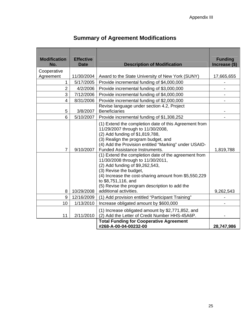| <b>Summary of Agreement Modifications</b> |  |
|-------------------------------------------|--|
|-------------------------------------------|--|

| <b>Modification</b><br>No. | <b>Effective</b><br><b>Date</b> | <b>Description of Modification</b>                                                                                                                                                                                                                                                                                                                                                                                                                                                                                                                                | <b>Funding</b><br>Increase (\$) |
|----------------------------|---------------------------------|-------------------------------------------------------------------------------------------------------------------------------------------------------------------------------------------------------------------------------------------------------------------------------------------------------------------------------------------------------------------------------------------------------------------------------------------------------------------------------------------------------------------------------------------------------------------|---------------------------------|
| Cooperative                |                                 |                                                                                                                                                                                                                                                                                                                                                                                                                                                                                                                                                                   |                                 |
| Agreement                  | 11/30/2004                      | Award to the State University of New York (SUNY)                                                                                                                                                                                                                                                                                                                                                                                                                                                                                                                  | 17,665,655                      |
| 1                          | 5/17/2005                       | Provide incremental funding of \$4,000,000                                                                                                                                                                                                                                                                                                                                                                                                                                                                                                                        |                                 |
| $\overline{2}$             | 4/2/2006                        | Provide incremental funding of \$3,000,000                                                                                                                                                                                                                                                                                                                                                                                                                                                                                                                        |                                 |
| 3                          | 7/12/2006                       | Provide incremental funding of \$4,000,000                                                                                                                                                                                                                                                                                                                                                                                                                                                                                                                        |                                 |
| 4                          | 8/31/2006                       | Provide incremental funding of \$2,000,000                                                                                                                                                                                                                                                                                                                                                                                                                                                                                                                        |                                 |
| 5                          | 3/8/2007                        | Revise language under section 4.2, Project<br><b>Beneficiaries</b>                                                                                                                                                                                                                                                                                                                                                                                                                                                                                                |                                 |
| 6                          | 5/10/2007                       | Provide incremental funding of \$1,308,252                                                                                                                                                                                                                                                                                                                                                                                                                                                                                                                        |                                 |
| $\overline{7}$             | 9/10/2007                       | (1) Extend the completion date of this Agreement from<br>11/29/2007 through to 11/30/2008,<br>(2) Add funding of \$1,819,788,<br>(3) Realign the program budget, and<br>(4) Add the Provision entitled "Marking" under USAID-<br><b>Funded Assistance Instruments.</b><br>(1) Extend the completion date of the agreement from<br>11/30/2008 through to 11/30/2011,<br>(2) Add funding of \$9,262,543,<br>(3) Revise the budget,<br>(4) Increase the cost-sharing amount from \$5,550,229<br>to \$8,751,116, and<br>(5) Revise the program description to add the | 1,819,788                       |
| 8                          | 10/29/2008                      | additional activities.                                                                                                                                                                                                                                                                                                                                                                                                                                                                                                                                            | 9,262,543                       |
| 9                          | 12/16/2009                      | (1) Add provision entitled "Participant Training"                                                                                                                                                                                                                                                                                                                                                                                                                                                                                                                 |                                 |
| 10                         | 1/13/2010                       | Increase obligated amount by \$600,000                                                                                                                                                                                                                                                                                                                                                                                                                                                                                                                            |                                 |
| 11                         | 2/11/2010                       | (1) Increase obligated amount by \$2,771,852, and<br>(2) Add the Letter of Credit Number HHS-45A6P.                                                                                                                                                                                                                                                                                                                                                                                                                                                               |                                 |
|                            |                                 | <b>Total Funding for Cooperative Agreement</b><br>#268-A-00-04-00232-00                                                                                                                                                                                                                                                                                                                                                                                                                                                                                           | 28,747,986                      |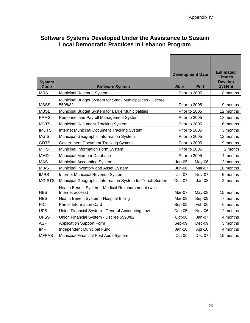<span id="page-28-0"></span>

| Software Systems Developed Under the Assistance to Sustain |  |
|------------------------------------------------------------|--|
| Local Democratic Practices in Lebanon Program              |  |

|                              |                                                                         |                         | <b>Development Date</b> | <b>Estimated</b><br><b>Time to</b> |
|------------------------------|-------------------------------------------------------------------------|-------------------------|-------------------------|------------------------------------|
| <b>System</b><br><b>Code</b> |                                                                         | <b>Start</b>            | <b>End</b>              | <b>Develop</b><br><b>System</b>    |
| <b>MRS</b>                   | <b>Software System</b><br>Municipal Revenue System                      |                         | Prior to 2005           | 18 months                          |
| <b>MBSS</b>                  | Municipal Budget System for Small Municipalities - Decree<br>5598/82    |                         | Prior to 2005           | 9 months                           |
| <b>MBSL</b>                  | Municipal Budget System for Large Municipalities                        |                         | Prior to 2005           | 12 months                          |
| <b>PPMS</b>                  | Personnel and Payroll Management System                                 |                         | Prior to 2005           | 18 months                          |
| <b>MDTS</b>                  | <b>Municipal Document Tracking System</b>                               |                         | Prior to 2005           | 6 months                           |
| <b>IMDTS</b>                 | <b>Internet Municipal Document Tracking System</b>                      |                         | Prior to 2005           | 3 months                           |
| <b>MGIS</b>                  | Municipal Geographic Information System                                 |                         | Prior to 2005           | 12 months                          |
| <b>GDTS</b>                  | Government Document Tracking System                                     |                         | Prior to 2005           | 9 months                           |
| <b>MIFS</b>                  | Municipal Information Form System                                       |                         | Prior to 2005           | 2 month                            |
| <b>MMD</b>                   | Municipal Member Database                                               | Prior to 2005           |                         | 4 months                           |
| <b>MAS</b>                   | <b>Municipal Accounting System</b>                                      | <b>Jun-05</b><br>May-06 |                         | 12 months                          |
| <b>MIAS</b>                  | Municipal Inventory and Asset System                                    | <b>Jun-06</b>           | Mar-07                  | 10 months                          |
| <b>IMRS</b>                  | Internet Municipal Revenue System                                       | <b>Jul-07</b>           | Nov-07                  | 5 months                           |
| <b>MGISTS</b>                | Municipal Geographic Information System for Touch Screen                | Dec-07                  | Jan-08                  | 2 months                           |
| <b>HBS</b>                   | Health Benefit System - Medical Reimbursement (with<br>Internet access) | Mar-07                  | May-08                  | 15 months                          |
| <b>HBS</b>                   | Health Benefit System - Hospital Billing                                | Mar-09                  | Sep-09                  | 7 months                           |
| <b>PIC</b>                   | <b>Parcel Information Card</b>                                          | Sep-05                  | Feb-06                  | 6 months                           |
| <b>UFS</b>                   | Union Financial System - General Accounting Law                         | $Dec-05$                | Nov-06                  | 12 months                          |
| <b>UFSS</b>                  | Union Financial System - Decree 5598/82                                 | Oct-06                  | Jan-07                  | 4 months                           |
| <b>ASF</b>                   | <b>Application Support Form</b>                                         | Sep-09                  | Dec-09                  | 3 months                           |
| <b>IMF</b>                   | Independent Municipal Fund                                              | $Jan-10$                | Apr-10                  | 4 months                           |
| <b>MFPAS</b>                 | Municipal Financial Post Audit System                                   | Oct 06                  | Dec 07                  | 15 months                          |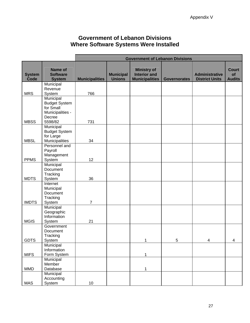### **Government of Lebanon Divisions Where Software Systems Were Installed**

<span id="page-29-0"></span>

|                       |                                             | <b>Government of Lebanon Divisions</b> |                                   |                                                                    |                     |                                                |                                     |
|-----------------------|---------------------------------------------|----------------------------------------|-----------------------------------|--------------------------------------------------------------------|---------------------|------------------------------------------------|-------------------------------------|
| <b>System</b><br>Code | Name of<br><b>Software</b><br><b>System</b> | <b>Municipalities</b>                  | <b>Municipal</b><br><b>Unions</b> | <b>Ministry of</b><br><b>Interior and</b><br><b>Municipalities</b> | <b>Governorates</b> | <b>Administrative</b><br><b>District Units</b> | <b>Court</b><br>of<br><b>Audits</b> |
|                       | Municipal                                   |                                        |                                   |                                                                    |                     |                                                |                                     |
|                       | Revenue                                     |                                        |                                   |                                                                    |                     |                                                |                                     |
| <b>MRS</b>            | System                                      | 766                                    |                                   |                                                                    |                     |                                                |                                     |
|                       | Municipal<br><b>Budget System</b>           |                                        |                                   |                                                                    |                     |                                                |                                     |
|                       | for Small                                   |                                        |                                   |                                                                    |                     |                                                |                                     |
|                       | Municipalities -                            |                                        |                                   |                                                                    |                     |                                                |                                     |
|                       | Decree                                      |                                        |                                   |                                                                    |                     |                                                |                                     |
| <b>MBSS</b>           | 5598/82                                     | 731                                    |                                   |                                                                    |                     |                                                |                                     |
|                       | Municipal                                   |                                        |                                   |                                                                    |                     |                                                |                                     |
|                       | <b>Budget System</b>                        |                                        |                                   |                                                                    |                     |                                                |                                     |
|                       | for Large                                   |                                        |                                   |                                                                    |                     |                                                |                                     |
| <b>MBSL</b>           | Municipalities                              | 34                                     |                                   |                                                                    |                     |                                                |                                     |
|                       | Personnel and                               |                                        |                                   |                                                                    |                     |                                                |                                     |
|                       | Payroll                                     |                                        |                                   |                                                                    |                     |                                                |                                     |
|                       | Management                                  |                                        |                                   |                                                                    |                     |                                                |                                     |
| <b>PPMS</b>           | System                                      | 12                                     |                                   |                                                                    |                     |                                                |                                     |
|                       | Municipal                                   |                                        |                                   |                                                                    |                     |                                                |                                     |
|                       | Document                                    |                                        |                                   |                                                                    |                     |                                                |                                     |
|                       | Tracking                                    |                                        |                                   |                                                                    |                     |                                                |                                     |
| <b>MDTS</b>           | System                                      | 36                                     |                                   |                                                                    |                     |                                                |                                     |
|                       | Internet                                    |                                        |                                   |                                                                    |                     |                                                |                                     |
|                       | Municipal                                   |                                        |                                   |                                                                    |                     |                                                |                                     |
|                       | Document<br>Tracking                        |                                        |                                   |                                                                    |                     |                                                |                                     |
| <b>IMDTS</b>          | System                                      | $\overline{7}$                         |                                   |                                                                    |                     |                                                |                                     |
|                       | Municipal                                   |                                        |                                   |                                                                    |                     |                                                |                                     |
|                       | Geographic                                  |                                        |                                   |                                                                    |                     |                                                |                                     |
|                       | Information                                 |                                        |                                   |                                                                    |                     |                                                |                                     |
| <b>MGIS</b>           | System                                      | 21                                     |                                   |                                                                    |                     |                                                |                                     |
|                       | Government                                  |                                        |                                   |                                                                    |                     |                                                |                                     |
|                       | Document                                    |                                        |                                   |                                                                    |                     |                                                |                                     |
|                       | Tracking                                    |                                        |                                   |                                                                    |                     |                                                |                                     |
| <b>GDTS</b>           | System                                      |                                        |                                   | 1                                                                  | $\,$ 5 $\,$         | $\overline{\mathbf{4}}$                        | $\overline{\mathbf{4}}$             |
|                       | Municipal                                   |                                        |                                   |                                                                    |                     |                                                |                                     |
|                       | Information                                 |                                        |                                   |                                                                    |                     |                                                |                                     |
| <b>MIFS</b>           | Form System                                 |                                        |                                   | 1                                                                  |                     |                                                |                                     |
|                       | Municipal                                   |                                        |                                   |                                                                    |                     |                                                |                                     |
|                       | Member                                      |                                        |                                   |                                                                    |                     |                                                |                                     |
| <b>MMD</b>            | Database                                    |                                        |                                   | 1                                                                  |                     |                                                |                                     |
|                       | Municipal                                   |                                        |                                   |                                                                    |                     |                                                |                                     |
|                       | Accounting                                  | 10                                     |                                   |                                                                    |                     |                                                |                                     |
| MAS                   | System                                      |                                        |                                   |                                                                    |                     |                                                |                                     |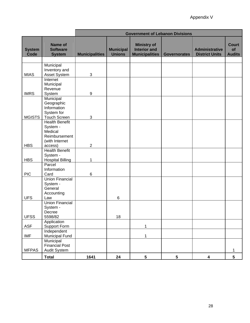|                       |                                             | <b>Government of Lebanon Divisions</b> |                                   |                                                                    |                     |                                                |                                     |
|-----------------------|---------------------------------------------|----------------------------------------|-----------------------------------|--------------------------------------------------------------------|---------------------|------------------------------------------------|-------------------------------------|
| <b>System</b><br>Code | Name of<br><b>Software</b><br><b>System</b> | <b>Municipalities</b>                  | <b>Municipal</b><br><b>Unions</b> | <b>Ministry of</b><br><b>Interior and</b><br><b>Municipalities</b> | <b>Governorates</b> | <b>Administrative</b><br><b>District Units</b> | <b>Court</b><br>of<br><b>Audits</b> |
|                       |                                             |                                        |                                   |                                                                    |                     |                                                |                                     |
|                       | Municipal                                   |                                        |                                   |                                                                    |                     |                                                |                                     |
| <b>MIAS</b>           | Inventory and<br>Asset System               | $\sqrt{3}$                             |                                   |                                                                    |                     |                                                |                                     |
|                       | Internet                                    |                                        |                                   |                                                                    |                     |                                                |                                     |
|                       | Municipal                                   |                                        |                                   |                                                                    |                     |                                                |                                     |
| <b>IMRS</b>           | Revenue                                     | $\boldsymbol{9}$                       |                                   |                                                                    |                     |                                                |                                     |
|                       | System<br>Municipal                         |                                        |                                   |                                                                    |                     |                                                |                                     |
|                       | Geographic                                  |                                        |                                   |                                                                    |                     |                                                |                                     |
|                       | Information                                 |                                        |                                   |                                                                    |                     |                                                |                                     |
| <b>MGISTS</b>         | System for<br><b>Touch Screen</b>           | $\sqrt{3}$                             |                                   |                                                                    |                     |                                                |                                     |
|                       | <b>Health Benefit</b>                       |                                        |                                   |                                                                    |                     |                                                |                                     |
|                       | System -                                    |                                        |                                   |                                                                    |                     |                                                |                                     |
|                       | Medical                                     |                                        |                                   |                                                                    |                     |                                                |                                     |
|                       | Reimbursement                               |                                        |                                   |                                                                    |                     |                                                |                                     |
| <b>HBS</b>            | (with Internet<br>access)                   | $\overline{c}$                         |                                   |                                                                    |                     |                                                |                                     |
|                       | <b>Health Benefit</b>                       |                                        |                                   |                                                                    |                     |                                                |                                     |
|                       | System -                                    |                                        |                                   |                                                                    |                     |                                                |                                     |
| <b>HBS</b>            | <b>Hospital Billing</b>                     | 1                                      |                                   |                                                                    |                     |                                                |                                     |
|                       | Parcel<br>Information                       |                                        |                                   |                                                                    |                     |                                                |                                     |
| <b>PIC</b>            | Card                                        | 6                                      |                                   |                                                                    |                     |                                                |                                     |
|                       | <b>Union Financial</b>                      |                                        |                                   |                                                                    |                     |                                                |                                     |
|                       | System -                                    |                                        |                                   |                                                                    |                     |                                                |                                     |
|                       | General<br>Accounting                       |                                        |                                   |                                                                    |                     |                                                |                                     |
| <b>UFS</b>            | Law                                         |                                        | 6                                 |                                                                    |                     |                                                |                                     |
|                       | <b>Union Financial</b>                      |                                        |                                   |                                                                    |                     |                                                |                                     |
|                       | System -                                    |                                        |                                   |                                                                    |                     |                                                |                                     |
| <b>UFSS</b>           | Decree<br>5598/82                           |                                        | 18                                |                                                                    |                     |                                                |                                     |
|                       | Application                                 |                                        |                                   |                                                                    |                     |                                                |                                     |
| ASF                   | Support Form                                |                                        |                                   | 1                                                                  |                     |                                                |                                     |
|                       | Independent                                 |                                        |                                   |                                                                    |                     |                                                |                                     |
| <b>IMF</b>            | Municipal Fund<br>Municipal                 |                                        |                                   | $\mathbf{1}$                                                       |                     |                                                |                                     |
|                       | <b>Financial Post</b>                       |                                        |                                   |                                                                    |                     |                                                |                                     |
| <b>MFPAS</b>          | Audit System                                |                                        |                                   |                                                                    |                     |                                                | 1                                   |
|                       | <b>Total</b>                                | 1641                                   | 24                                | $5\phantom{.0}$                                                    | ${\bf 5}$           | $\overline{\mathbf{4}}$                        | $5\phantom{.0}$                     |